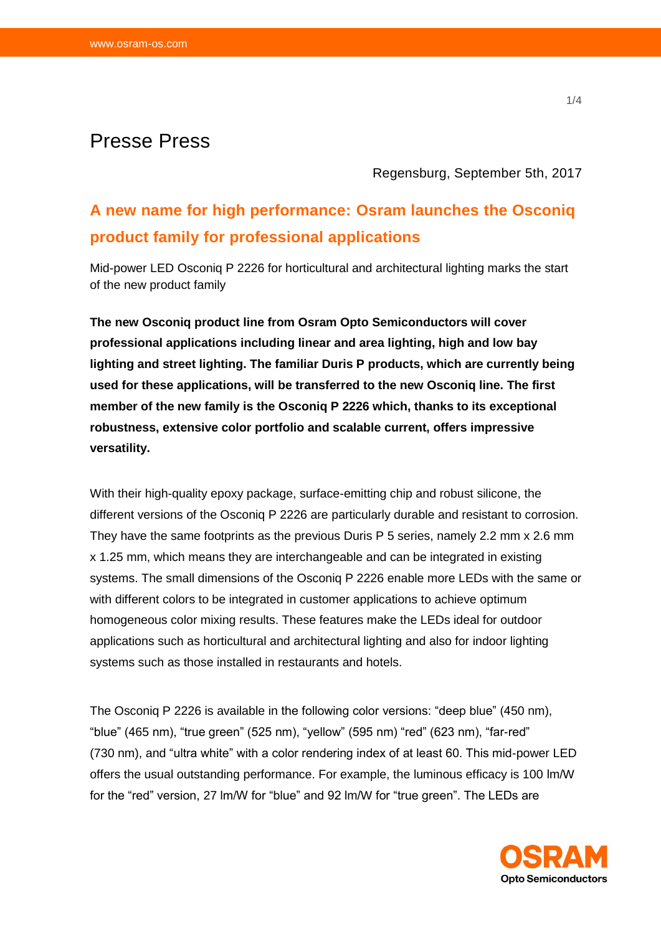# Presse Press

Regensburg, September 5th, 2017

# **A new name for high performance: Osram launches the Osconiq product family for professional applications**

Mid-power LED Osconiq P 2226 for horticultural and architectural lighting marks the start of the new product family

**The new Osconiq product line from Osram Opto Semiconductors will cover professional applications including linear and area lighting, high and low bay lighting and street lighting. The familiar Duris P products, which are currently being used for these applications, will be transferred to the new Osconiq line. The first member of the new family is the Osconiq P 2226 which, thanks to its exceptional robustness, extensive color portfolio and scalable current, offers impressive versatility.**

With their high-quality epoxy package, surface-emitting chip and robust silicone, the different versions of the Osconiq P 2226 are particularly durable and resistant to corrosion. They have the same footprints as the previous Duris P 5 series, namely 2.2 mm x 2.6 mm x 1.25 mm, which means they are interchangeable and can be integrated in existing systems. The small dimensions of the Osconiq P 2226 enable more LEDs with the same or with different colors to be integrated in customer applications to achieve optimum homogeneous color mixing results. These features make the LEDs ideal for outdoor applications such as horticultural and architectural lighting and also for indoor lighting systems such as those installed in restaurants and hotels.

The Osconiq P 2226 is available in the following color versions: "deep blue" (450 nm), "blue" (465 nm), "true green" (525 nm), "yellow" (595 nm) "red" (623 nm), "far-red" (730 nm), and "ultra white" with a color rendering index of at least 60. This mid-power LED offers the usual outstanding performance. For example, the luminous efficacy is 100 lm/W for the "red" version, 27 lm/W for "blue" and 92 lm/W for "true green". The LEDs are

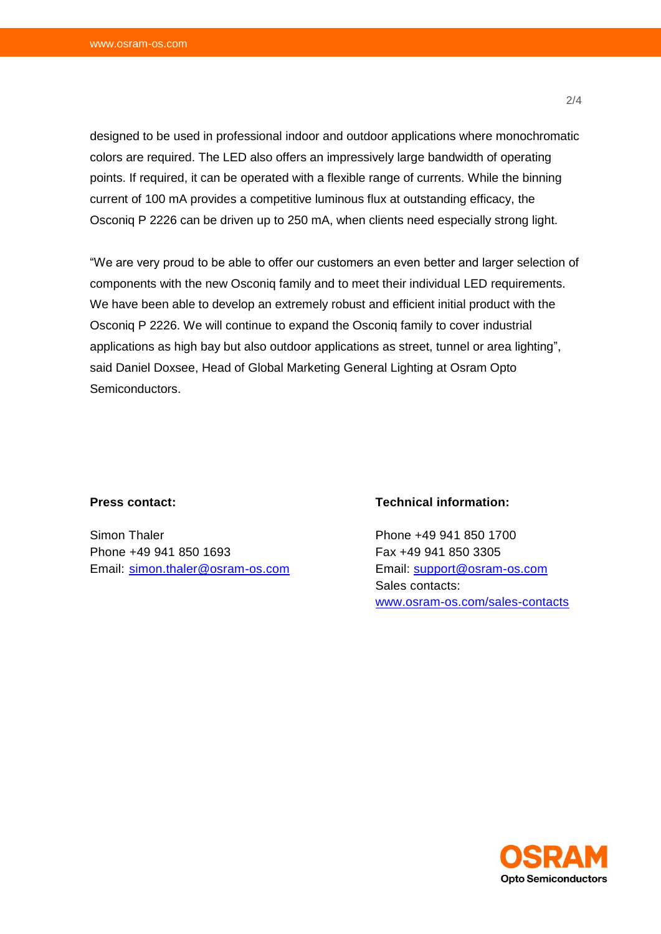designed to be used in professional indoor and outdoor applications where monochromatic colors are required. The LED also offers an impressively large bandwidth of operating points. If required, it can be operated with a flexible range of currents. While the binning current of 100 mA provides a competitive luminous flux at outstanding efficacy, the Osconiq P 2226 can be driven up to 250 mA, when clients need especially strong light.

"We are very proud to be able to offer our customers an even better and larger selection of components with the new Osconiq family and to meet their individual LED requirements. We have been able to develop an extremely robust and efficient initial product with the Osconiq P 2226. We will continue to expand the Osconiq family to cover industrial applications as high bay but also outdoor applications as street, tunnel or area lighting", said Daniel Doxsee, Head of Global Marketing General Lighting at Osram Opto Semiconductors.

#### **Press contact:**

Simon Thaler Phone +49 941 850 1693 Email: [simon.thaler@osram-os.com](mailto:simon.thaler@osram-os.com)

## **Technical information:**

Phone +49 941 850 1700 Fax +49 941 850 3305 Email: [support@osram-os.com](mailto:support@osram-os.com) Sales contacts: [www.osram-os.com/sales-contacts](http://www.osram-os.com/sales-contacts)

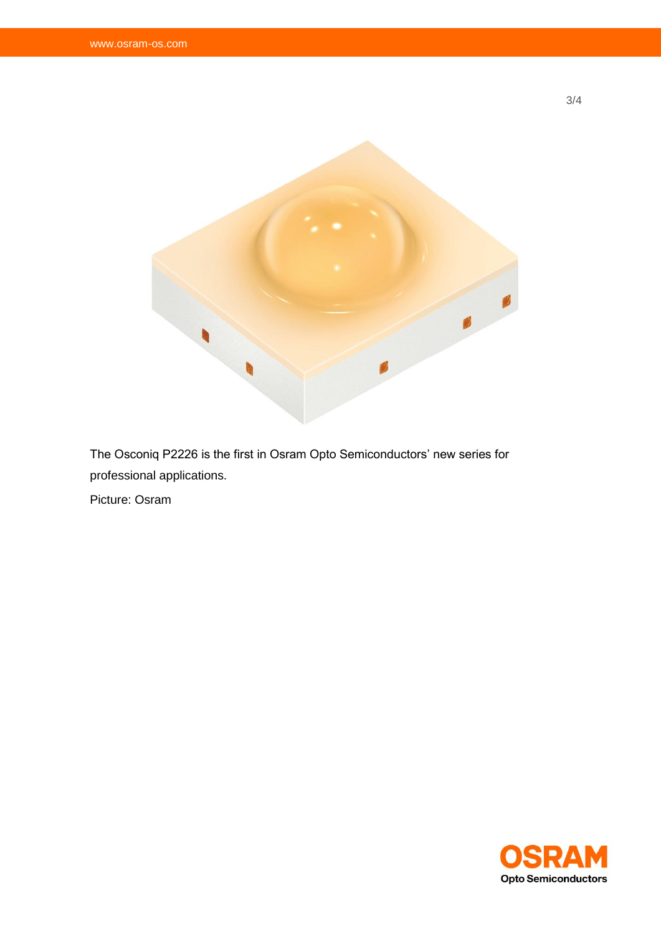

The Osconiq P2226 is the first in Osram Opto Semiconductors' new series for professional applications.

Picture: Osram



3/4